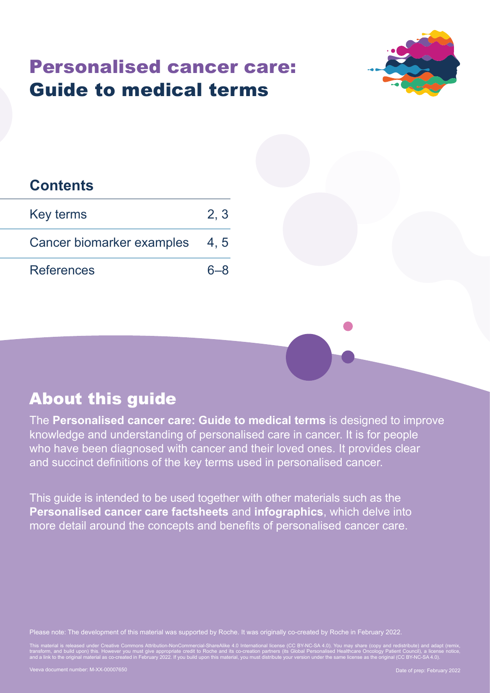# Personalised cancer care: Guide to medical terms



#### **Contents**

| Key terms                      | 2, 3    |
|--------------------------------|---------|
| Cancer biomarker examples 4, 5 |         |
| <b>References</b>              | $6 - 8$ |



## About this guide

The **Personalised cancer care: Guide to medical terms** is designed to improve knowledge and understanding of personalised care in cancer. It is for people who have been diagnosed with cancer and their loved ones. It provides clear and succinct definitions of the key terms used in personalised cancer.

This guide is intended to be used together with other materials such as the **Personalised cancer care factsheets** and **infographics**, which delve into more detail around the concepts and benefits of personalised cancer care.

Please note: The development of this material was supported by Roche. It was originally co-created by Roche in February 2022.

transform, and build upon) this. However you must give appropriate credit to Roche and its co-creation partners (its Global Personalised Healthcare Oncology Patient Council), a license notice,<br>and a link to the original ma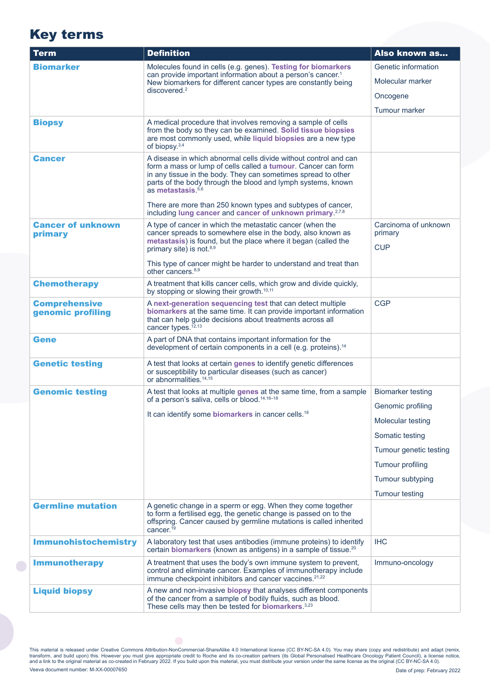### Key terms

| <b>Term</b>                               | <b>Definition</b>                                                                                                                                                                                                                                                                                   | Also known as                   |
|-------------------------------------------|-----------------------------------------------------------------------------------------------------------------------------------------------------------------------------------------------------------------------------------------------------------------------------------------------------|---------------------------------|
| <b>Biomarker</b>                          | Molecules found in cells (e.g. genes). Testing for biomarkers                                                                                                                                                                                                                                       | Genetic information             |
|                                           | can provide important information about a person's cancer. <sup>1</sup><br>New biomarkers for different cancer types are constantly being                                                                                                                                                           | Molecular marker                |
|                                           | discovered. <sup>2</sup>                                                                                                                                                                                                                                                                            | Oncogene                        |
|                                           |                                                                                                                                                                                                                                                                                                     | <b>Tumour marker</b>            |
| <b>Biopsy</b>                             | A medical procedure that involves removing a sample of cells<br>from the body so they can be examined. Solid tissue biopsies<br>are most commonly used, while liquid biopsies are a new type<br>of biopsy. <sup>3,4</sup>                                                                           |                                 |
| Cancer                                    | A disease in which abnormal cells divide without control and can<br>form a mass or lump of cells called a tumour. Cancer can form<br>in any tissue in the body. They can sometimes spread to other<br>parts of the body through the blood and lymph systems, known<br>as metastasis. <sup>5,6</sup> |                                 |
|                                           | There are more than 250 known types and subtypes of cancer,<br>including lung cancer and cancer of unknown primary. <sup>2,7,8</sup>                                                                                                                                                                |                                 |
| <b>Cancer of unknown</b><br>primary       | A type of cancer in which the metastatic cancer (when the<br>cancer spreads to somewhere else in the body, also known as                                                                                                                                                                            | Carcinoma of unknown<br>primary |
|                                           | metastasis) is found, but the place where it began (called the<br>primary site) is not. <sup>8,9</sup>                                                                                                                                                                                              | <b>CUP</b>                      |
|                                           | This type of cancer might be harder to understand and treat than<br>other cancers. <sup>8,9</sup>                                                                                                                                                                                                   |                                 |
| <b>Chemotherapy</b>                       | A treatment that kills cancer cells, which grow and divide quickly,<br>by stopping or slowing their growth. <sup>10,11</sup>                                                                                                                                                                        |                                 |
| <b>Comprehensive</b><br>genomic profiling | A next-generation sequencing test that can detect multiple<br>biomarkers at the same time. It can provide important information<br>that can help guide decisions about treatments across all<br>cancer types. <sup>12,13</sup>                                                                      | <b>CGP</b>                      |
| Gene                                      | A part of DNA that contains important information for the<br>development of certain components in a cell (e.g. proteins). <sup>14</sup>                                                                                                                                                             |                                 |
| <b>Genetic testing</b>                    | A test that looks at certain genes to identify genetic differences<br>or susceptibility to particular diseases (such as cancer)<br>or abnormalities. <sup>14,15</sup>                                                                                                                               |                                 |
| <b>Genomic testing</b>                    | A test that looks at multiple genes at the same time, from a sample<br>of a person's saliva, cells or blood. <sup>14,16-18</sup>                                                                                                                                                                    | <b>Biomarker testing</b>        |
|                                           | It can identify some biomarkers in cancer cells. <sup>18</sup>                                                                                                                                                                                                                                      | Genomic profiling               |
|                                           |                                                                                                                                                                                                                                                                                                     | Molecular testing               |
|                                           |                                                                                                                                                                                                                                                                                                     | Somatic testing                 |
|                                           |                                                                                                                                                                                                                                                                                                     | Tumour genetic testing          |
|                                           |                                                                                                                                                                                                                                                                                                     | <b>Tumour profiling</b>         |
|                                           |                                                                                                                                                                                                                                                                                                     | Tumour subtyping                |
|                                           |                                                                                                                                                                                                                                                                                                     | <b>Tumour testing</b>           |
| <b>Germline mutation</b>                  | A genetic change in a sperm or egg. When they come together<br>to form a fertilised egg, the genetic change is passed on to the<br>offspring. Cancer caused by germline mutations is called inherited<br>cancer. <sup>19</sup>                                                                      |                                 |
| <b>Immunohistochemistry</b>               | A laboratory test that uses antibodies (immune proteins) to identify<br>certain biomarkers (known as antigens) in a sample of tissue. <sup>20</sup>                                                                                                                                                 | <b>IHC</b>                      |
| <b>Immunotherapy</b>                      | A treatment that uses the body's own immune system to prevent,<br>control and eliminate cancer. Examples of immunotherapy include<br>immune checkpoint inhibitors and cancer vaccines. <sup>21,22</sup>                                                                                             | Immuno-oncology                 |
| <b>Liquid biopsy</b>                      | A new and non-invasive biopsy that analyses different components<br>of the cancer from a sample of bodily fluids, such as blood.<br>These cells may then be tested for biomarkers. <sup>3,23</sup>                                                                                                  |                                 |

Veeva document number: M-XX-00007650 Date of prep: February 2022 This material is released under Creative Commons Attribution-NonCommercial-ShareAlike 4.0 International license (CC BY-NC-SA 4.0). You may share (copy and redistribute) and adapt (remix,<br>transform, and build upon) this. Ho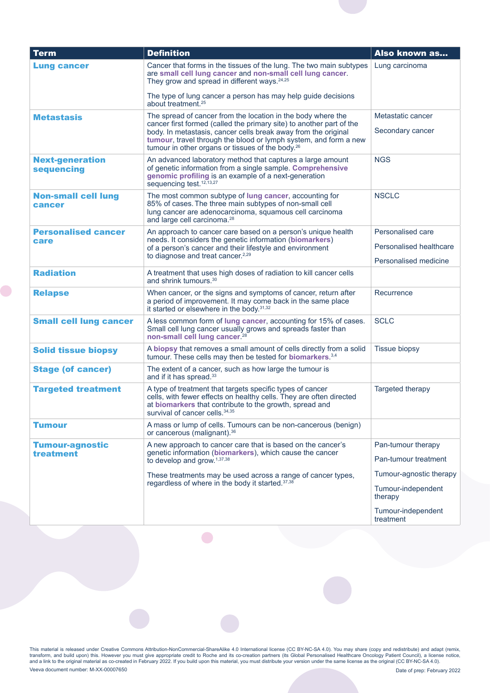| <b>Term</b>                          | <b>Definition</b>                                                                                                                                                                                                                                                                                                                          | Also known as                                                         |
|--------------------------------------|--------------------------------------------------------------------------------------------------------------------------------------------------------------------------------------------------------------------------------------------------------------------------------------------------------------------------------------------|-----------------------------------------------------------------------|
| <b>Lung cancer</b>                   | Cancer that forms in the tissues of the lung. The two main subtypes<br>are small cell lung cancer and non-small cell lung cancer.<br>They grow and spread in different ways. <sup>24,25</sup>                                                                                                                                              | Lung carcinoma                                                        |
|                                      | The type of lung cancer a person has may help guide decisions<br>about treatment. <sup>25</sup>                                                                                                                                                                                                                                            |                                                                       |
| <b>Metastasis</b>                    | The spread of cancer from the location in the body where the<br>cancer first formed (called the primary site) to another part of the<br>body. In metastasis, cancer cells break away from the original<br>tumour, travel through the blood or lymph system, and form a new<br>tumour in other organs or tissues of the body. <sup>26</sup> | Metastatic cancer<br>Secondary cancer                                 |
| <b>Next-generation</b><br>sequencing | An advanced laboratory method that captures a large amount<br>of genetic information from a single sample. Comprehensive<br>genomic profiling is an example of a next-generation<br>sequencing test. <sup>12,13,27</sup>                                                                                                                   | <b>NGS</b>                                                            |
| <b>Non-small cell lung</b><br>cancer | The most common subtype of lung cancer, accounting for<br>85% of cases. The three main subtypes of non-small cell<br>lung cancer are adenocarcinoma, squamous cell carcinoma<br>and large cell carcinoma. <sup>28</sup>                                                                                                                    | <b>NSCLC</b>                                                          |
| <b>Personalised cancer</b><br>care   | An approach to cancer care based on a person's unique health<br>needs. It considers the genetic information (biomarkers)<br>of a person's cancer and their lifestyle and environment<br>to diagnose and treat cancer. <sup>2,29</sup>                                                                                                      | Personalised care<br>Personalised healthcare<br>Personalised medicine |
| <b>Radiation</b>                     | A treatment that uses high doses of radiation to kill cancer cells<br>and shrink tumours. <sup>30</sup>                                                                                                                                                                                                                                    |                                                                       |
| <b>Relapse</b>                       | When cancer, or the signs and symptoms of cancer, return after<br>a period of improvement. It may come back in the same place<br>it started or elsewhere in the body. <sup>31,32</sup>                                                                                                                                                     | Recurrence                                                            |
| <b>Small cell lung cancer</b>        | A less common form of lung cancer, accounting for 15% of cases.<br>Small cell lung cancer usually grows and spreads faster than<br>non-small cell lung cancer. <sup>28</sup>                                                                                                                                                               |                                                                       |
| <b>Solid tissue biopsy</b>           | A biopsy that removes a small amount of cells directly from a solid<br>tumour. These cells may then be tested for <b>biomarkers</b> . <sup>3,4</sup>                                                                                                                                                                                       |                                                                       |
| <b>Stage (of cancer)</b>             | The extent of a cancer, such as how large the tumour is<br>and if it has spread. <sup>33</sup>                                                                                                                                                                                                                                             |                                                                       |
| <b>Targeted treatment</b>            | A type of treatment that targets specific types of cancer<br>cells, with fewer effects on healthy cells. They are often directed<br>at biomarkers that contribute to the growth, spread and<br>survival of cancer cells. 34,35                                                                                                             | Targeted therapy                                                      |
| Tumour                               | A mass or lump of cells. Tumours can be non-cancerous (benign)<br>or cancerous (malignant). <sup>36</sup>                                                                                                                                                                                                                                  |                                                                       |
| <b>Tumour-agnostic</b><br>treatment  | A new approach to cancer care that is based on the cancer's<br>genetic information (biomarkers), which cause the cancer<br>to develop and grow.1,37,38                                                                                                                                                                                     | Pan-tumour therapy<br>Pan-tumour treatment                            |
|                                      | These treatments may be used across a range of cancer types,                                                                                                                                                                                                                                                                               | Tumour-agnostic therapy                                               |
|                                      | regardless of where in the body it started. 37,38                                                                                                                                                                                                                                                                                          | Tumour-independent<br>therapy                                         |
|                                      |                                                                                                                                                                                                                                                                                                                                            | Tumour-independent<br>treatment                                       |

Veeva document number: M-XX-00007650 Date of prep: February 2022 This material is released under Creative Commons Attribution-NonCommercial-ShareAlike 4.0 International license (CC BY-NC-SA 4.0). You may share (copy and redistribute) and adapt (remix,<br>transform, and build upon) this. Ho

 $\bullet$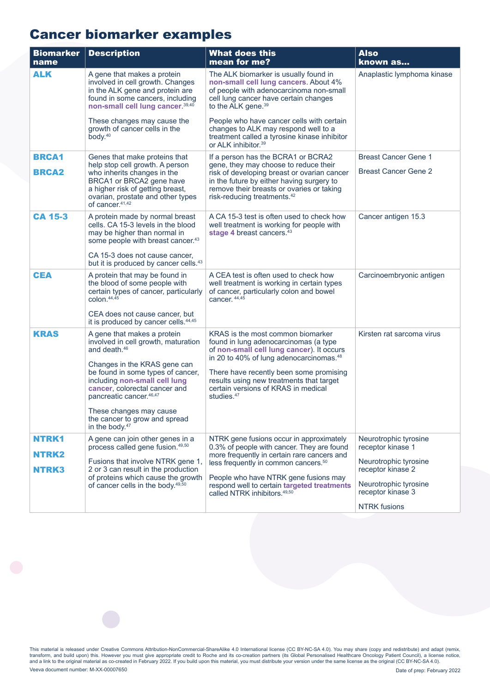### Cancer biomarker examples

| <b>Biomarker</b><br>name       | <b>Description</b>                                                                                                                                                                                                                                                                                                                                          | <b>What does this</b><br>mean for me?                                                                                                                                                                                                                                                                                                  | <b>Also</b><br>known as                                                                                                                                       |
|--------------------------------|-------------------------------------------------------------------------------------------------------------------------------------------------------------------------------------------------------------------------------------------------------------------------------------------------------------------------------------------------------------|----------------------------------------------------------------------------------------------------------------------------------------------------------------------------------------------------------------------------------------------------------------------------------------------------------------------------------------|---------------------------------------------------------------------------------------------------------------------------------------------------------------|
| <b>ALK</b>                     | A gene that makes a protein<br>involved in cell growth. Changes<br>in the ALK gene and protein are<br>found in some cancers, including<br>non-small cell lung cancer. 39,40                                                                                                                                                                                 | The ALK biomarker is usually found in<br>non-small cell lung cancers. About 4%<br>of people with adenocarcinoma non-small<br>cell lung cancer have certain changes<br>to the ALK gene. <sup>39</sup>                                                                                                                                   | Anaplastic lymphoma kinase                                                                                                                                    |
|                                | These changes may cause the<br>growth of cancer cells in the<br>body. <sup>40</sup>                                                                                                                                                                                                                                                                         | People who have cancer cells with certain<br>changes to ALK may respond well to a<br>treatment called a tyrosine kinase inhibitor<br>or Al K inhibitor. $39$                                                                                                                                                                           |                                                                                                                                                               |
| <b>BRCA1</b><br><b>BRCA2</b>   | Genes that make proteins that<br>help stop cell growth. A person<br>who inherits changes in the<br>BRCA1 or BRCA2 gene have<br>a higher risk of getting breast,<br>ovarian, prostate and other types<br>of cancer. <sup>41,42</sup>                                                                                                                         | If a person has the BCRA1 or BCRA2<br>gene, they may choose to reduce their<br>risk of developing breast or ovarian cancer<br>in the future by either having surgery to<br>remove their breasts or ovaries or taking<br>risk-reducing treatments. <sup>42</sup>                                                                        | <b>Breast Cancer Gene 1</b><br><b>Breast Cancer Gene 2</b>                                                                                                    |
| <b>CA 15-3</b>                 | A protein made by normal breast<br>cells. CA 15-3 levels in the blood<br>may be higher than normal in<br>some people with breast cancer. <sup>43</sup><br>CA 15-3 does not cause cancer,<br>but it is produced by cancer cells. <sup>43</sup>                                                                                                               | A CA 15-3 test is often used to check how<br>well treatment is working for people with<br>stage 4 breast cancers. <sup>43</sup>                                                                                                                                                                                                        | Cancer antigen 15.3                                                                                                                                           |
| <b>CEA</b>                     | A protein that may be found in<br>the blood of some people with<br>certain types of cancer, particularly<br>colon. $44,45$<br>CEA does not cause cancer, but<br>it is produced by cancer cells. <sup>44,45</sup>                                                                                                                                            | A CEA test is often used to check how<br>well treatment is working in certain types<br>of cancer, particularly colon and bowel<br>cancer. 44,45                                                                                                                                                                                        | Carcinoembryonic antigen                                                                                                                                      |
| <b>KRAS</b>                    | A gene that makes a protein<br>involved in cell growth, maturation<br>and death. <sup>46</sup><br>Changes in the KRAS gene can<br>be found in some types of cancer,<br>including non-small cell lung<br>cancer, colorectal cancer and<br>pancreatic cancer. 46,47<br>These changes may cause<br>the cancer to grow and spread<br>in the body. <sup>47</sup> | KRAS is the most common biomarker<br>found in lung adenocarcinomas (a type<br>of non-small cell lung cancer). It occurs<br>in 20 to 40% of lung adenocarcinomas. <sup>48</sup><br>There have recently been some promising<br>results using new treatments that target<br>certain versions of KRAS in medical<br>studies. <sup>47</sup> | Kirsten rat sarcoma virus                                                                                                                                     |
| NTRK1<br>NTRK2<br><b>NTRK3</b> | A gene can join other genes in a<br>process called gene fusion. <sup>49,50</sup><br>Fusions that involve NTRK gene 1,<br>2 or 3 can result in the production<br>of proteins which cause the growth<br>of cancer cells in the body. <sup>49,50</sup>                                                                                                         | NTRK gene fusions occur in approximately<br>0.3% of people with cancer. They are found<br>more frequently in certain rare cancers and<br>less frequently in common cancers. <sup>50</sup><br>People who have NTRK gene fusions may<br>respond well to certain targeted treatments<br>called NTRK inhibitors. 49,50                     | Neurotrophic tyrosine<br>receptor kinase 1<br>Neurotrophic tyrosine<br>receptor kinase 2<br>Neurotrophic tyrosine<br>receptor kinase 3<br><b>NTRK</b> fusions |

Veeva document number: M-XX-00007650 Date of prep: February 2022 This material is released under Creative Commons Attribution-NonCommercial-ShareAlike 4.0 International license (CC BY-NC-SA 4.0). You may share (copy and redistribute) and adapt (remix,<br>transform, and build upon) this. Ho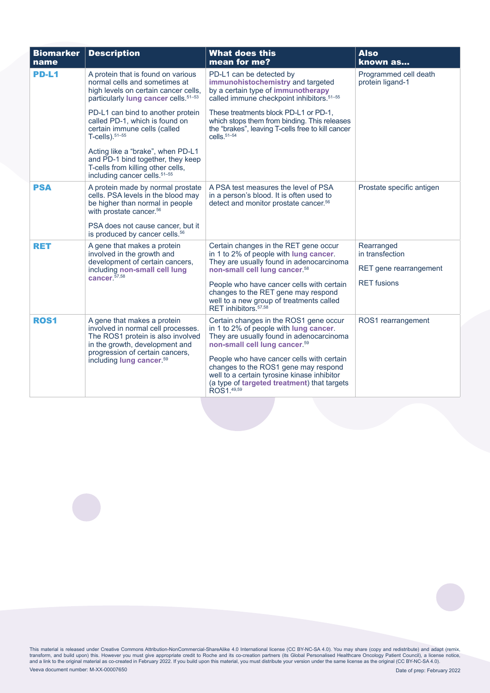| <b>Biomarker</b><br>name | <b>Description</b>                                                                                                                                                                                                  | <b>What does this</b><br>mean for me?                                                                                                                                                         | <b>Also</b><br>known as                                 |
|--------------------------|---------------------------------------------------------------------------------------------------------------------------------------------------------------------------------------------------------------------|-----------------------------------------------------------------------------------------------------------------------------------------------------------------------------------------------|---------------------------------------------------------|
| <b>PD-L1</b>             | A protein that is found on various<br>normal cells and sometimes at<br>high levels on certain cancer cells,<br>particularly lung cancer cells. <sup>51-53</sup>                                                     | PD-L1 can be detected by<br>immunohistochemistry and targeted<br>by a certain type of immunotherapy<br>called immune checkpoint inhibitors. <sup>51-55</sup>                                  | Programmed cell death<br>protein ligand-1               |
|                          | PD-L1 can bind to another protein<br>called PD-1, which is found on<br>certain immune cells (called<br>$T$ -cells). $51-55$                                                                                         | These treatments block PD-L1 or PD-1,<br>which stops them from binding. This releases<br>the "brakes", leaving T-cells free to kill cancer<br>$cells.51-54$                                   |                                                         |
|                          | Acting like a "brake", when PD-L1<br>and PD-1 bind together, they keep<br>T-cells from killing other cells,<br>including cancer cells. <sup>51-55</sup>                                                             |                                                                                                                                                                                               |                                                         |
| <b>PSA</b>               | A protein made by normal prostate<br>cells. PSA levels in the blood may<br>be higher than normal in people<br>with prostate cancer. <sup>56</sup>                                                                   | A PSA test measures the level of PSA<br>in a person's blood. It is often used to<br>detect and monitor prostate cancer. <sup>56</sup>                                                         | Prostate specific antigen                               |
|                          | PSA does not cause cancer, but it<br>is produced by cancer cells. <sup>56</sup>                                                                                                                                     |                                                                                                                                                                                               |                                                         |
| <b>RET</b>               | A gene that makes a protein<br>involved in the growth and<br>development of certain cancers,<br>including non-small cell lung<br>cancer. $57,58$                                                                    | Certain changes in the RET gene occur<br>in 1 to 2% of people with lung cancer.<br>They are usually found in adenocarcinoma<br>non-small cell lung cancer. <sup>58</sup>                      | Rearranged<br>in transfection<br>RET gene rearrangement |
|                          |                                                                                                                                                                                                                     | People who have cancer cells with certain<br>changes to the RET gene may respond<br>well to a new group of treatments called<br>RET inhibitors. <sup>57,58</sup>                              | <b>RET</b> fusions                                      |
| ROS <sub>1</sub>         | A gene that makes a protein<br>involved in normal cell processes.<br>The ROS1 protein is also involved<br>in the growth, development and<br>progression of certain cancers,<br>including lung cancer. <sup>59</sup> | Certain changes in the ROS1 gene occur<br>in 1 to 2% of people with lung cancer.<br>They are usually found in adenocarcinoma<br>non-small cell lung cancer. <sup>59</sup>                     | ROS1 rearrangement                                      |
|                          |                                                                                                                                                                                                                     | People who have cancer cells with certain<br>changes to the ROS1 gene may respond<br>well to a certain tyrosine kinase inhibitor<br>(a type of targeted treatment) that targets<br>ROS1.49,59 |                                                         |

Veeva document number: M-XX-00007650 Date of prep: February 2022 This material is released under Creative Commons Attribution-NonCommercial-ShareAlike 4.0 International license (CC BY-NC-SA 4.0). You may share (copy and redistribute) and adapt (remix,<br>transform, and build upon) this. Ho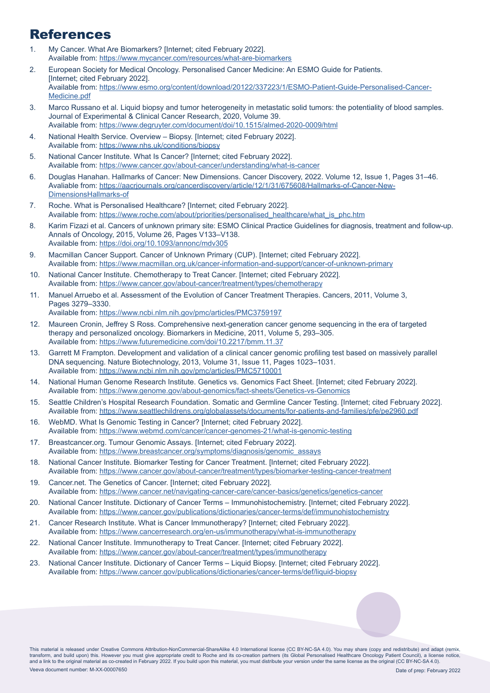#### References

- 1. My Cancer. What Are Biomarkers? [Internet; cited February 2022]. Available from: <https://www.mycancer.com/resources/what-are-biomarkers>
- 2. European Society for Medical Oncology. Personalised Cancer Medicine: An ESMO Guide for Patients. [Internet; cited February 2022]. Available from: [https://www.esmo.org/content/download/20122/337223/1/ESMO-Patient-Guide-Personalised-Cancer-](https://www.esmo.org/content/download/20122/337223/1/ESMO-Patient-Guide-Personalised-Cancer-Medicine.pdf)[Medicine.pdf](https://www.esmo.org/content/download/20122/337223/1/ESMO-Patient-Guide-Personalised-Cancer-Medicine.pdf)
- 3. Marco Russano et al. Liquid biopsy and tumor heterogeneity in metastatic solid tumors: the potentiality of blood samples. Journal of Experimental & Clinical Cancer Research, 2020, Volume 39. Available from: <https://www.degruyter.com/document/doi/10.1515/almed-2020-0009/html>
- 4. National Health Service. Overview Biopsy. [Internet; cited February 2022]. Available from: <https://www.nhs.uk/conditions/biopsy>
- 5. National Cancer Institute. What Is Cancer? [Internet; cited February 2022]. Available from: https://www.cancer.gov/about-cancer/understanding/what-is-cancer
- 6. Douglas Hanahan. Hallmarks of Cancer: New Dimensions. Cancer Discovery, 2022. Volume 12, Issue 1, Pages 31–46. Avaliable from: [https://aacrjournals.org/cancerdiscovery/article/12/1/31/675608/Hallmarks-of-Cancer-New-](https://aacrjournals.org/cancerdiscovery/article/12/1/31/675608/Hallmarks-of-Cancer-New-DimensionsHallmarks-of)[DimensionsHallmarks-of](https://aacrjournals.org/cancerdiscovery/article/12/1/31/675608/Hallmarks-of-Cancer-New-DimensionsHallmarks-of)
- 7. Roche. What is Personalised Healthcare? [Internet; cited February 2022]. Available from: https://www.roche.com/about/priorities/personalised\_healthcare/what\_is\_phc.htm
- 8. Karim Fizazi et al. Cancers of unknown primary site: ESMO Clinical Practice Guidelines for diagnosis, treatment and follow-up. Annals of Oncology, 2015, Volume 26, Pages V133–V138. Available from[:](https://www.annalsofoncology.org/article/S0923-7534(19)47185-8/fulltext) <https://doi.org/10.1093/annonc/mdv305>
- 9. Macmillan Cancer Support. Cancer of Unknown Primary (CUP). [Internet; cited February 2022]. Available from: <https://www.macmillan.org.uk/cancer-information-and-support/cancer-of-unknown-primary>
- 10. National Cancer Institute. Chemotherapy to Treat Cancer. [Internet; cited February 2022]. Available from: <https://www.cancer.gov/about-cancer/treatment/types/chemotherapy>
- 11. Manuel Arruebo et al. Assessment of the Evolution of Cancer Treatment Therapies. Cancers, 2011, Volume 3, Pages 3279–3330. Available from: <https://www.ncbi.nlm.nih.gov/pmc/articles/PMC3759197>
- 12. Maureen Cronin, Jeffrey S Ross. Comprehensive next-generation cancer genome sequencing in the era of targeted therapy and personalized oncology. Biomarkers in Medicine, 2011, Volume 5, 293–305. Available from: <https://www.futuremedicine.com/doi/10.2217/bmm.11.37>
- 13. Garrett M Frampton. Development and validation of a clinical cancer genomic profiling test based on massively parallel DNA sequencing. Nature Biotechnology, 2013, Volume 31, Issue 11, Pages 1023–1031. Available from: <https://www.ncbi.nlm.nih.gov/pmc/articles/PMC5710001>
- 14. National Human Genome Research Institute. Genetics vs. Genomics Fact Sheet. [Internet; cited February 2022]. Available from: <https://www.genome.gov/about-genomics/fact-sheets/Genetics-vs-Genomics>
- 15. Seattle Children's Hospital Research Foundation. Somatic and Germline Cancer Testing. [Internet; cited February 2022]. Available from: <https://www.seattlechildrens.org/globalassets/documents/for-patients-and-families/pfe/pe2960.pdf>
- 16. WebMD. What Is Genomic Testing in Cancer? [Internet; cited February 2022]. Available from: <https://www.webmd.com/cancer/cancer-genomes-21/what-is-genomic-testing>
- 17. Breastcancer.org. Tumour Genomic Assays. [Internet; cited February 2022]. Available from: [https://www.breastcancer.org/symptoms/diagnosis/genomic\\_assays](https://www.breastcancer.org/symptoms/diagnosis/genomic_assays)
- 18. National Cancer Institute. Biomarker Testing for Cancer Treatment. [Internet; cited February 2022]. Available from: <https://www.cancer.gov/about-cancer/treatment/types/biomarker-testing-cancer-treatment>
- 19. Cancer.net. The Genetics of Cancer. [Internet; cited February 2022]. Available from:<https://www.cancer.net/navigating-cancer-care/cancer-basics/genetics/genetics-cancer>
- 20. National Cancer Institute. Dictionary of Cancer Terms Immunohistochemistry. [Internet; cited February 2022]. Available from:<https://www.cancer.gov/publications/dictionaries/cancer-terms/def/immunohistochemistry>
- 21. Cancer Research Institute. What is Cancer Immunotherapy? [Internet; cited February 2022]. Available from:<https://www.cancerresearch.org/en-us/immunotherapy/what-is-immunotherapy>
- 22. National Cancer Institute. Immunotherapy to Treat Cancer. [Internet; cited February 2022]. Available from:<https://www.cancer.gov/about-cancer/treatment/types/immunotherapy>
- 23. National Cancer Institute. Dictionary of Cancer Terms Liquid Biopsy. [Internet; cited February 2022]. Available from:<https://www.cancer.gov/publications/dictionaries/cancer-terms/def/liquid-biopsy>

Veeva document number: M-XX-00007650 Date of prep: February 2022 This material is released under Creative Commons Attribution-NonCommercial-ShareAlike 4.0 International license (CC BY-NC-SA 4.0). You may share (copy and redistribute) and adapt (remix, transform, and build upon) this. However you must give appropriate credit to Roche and its co-creation partners (its Global Personalised Healthcare Oncology Patient Council), a licens and a link to the original material as co-created in February 2022. If you build upon this material, you must distribute your version under the same license as the original (CC BY-NC-SA 4.0).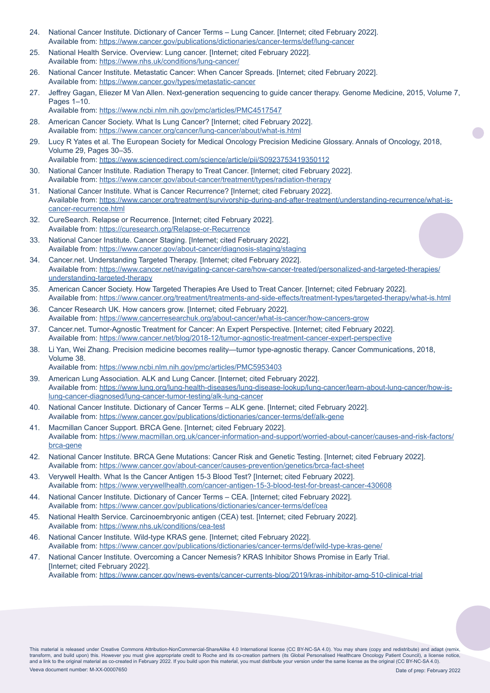- 24. National Cancer Institute. Dictionary of Cancer Terms Lung Cancer. [Internet; cited February 2022]. Available from: <https://www.cancer.gov/publications/dictionaries/cancer-terms/def/lung-cancer>
- 25. National Health Service. Overview: Lung cancer. [Internet; [c](https://www.nhs.uk/conditions/lung-cancer
)ited February 2022]. Available from: <https://www.nhs.uk/conditions/lung-cancer/>
- 26. National Cancer Institute. Metastatic Cancer: When Cancer Spreads. [Internet; cited February 2022]. Available from: <https://www.cancer.gov/types/metastatic-cancer>
- 27. Jeffrey Gagan, Eliezer M Van Allen. Next-generation sequencing to guide cancer therapy. Genome Medicine, 2015, Volume 7, Pages 1–10. Available from: <https://www.ncbi.nlm.nih.gov/pmc/articles/PMC4517547>
- 28. American Cancer Society. What Is Lung Cancer? [Internet; cited February 2022]. Available from: <https://www.cancer.org/cancer/lung-cancer/about/what-is.html>
- 29. Lucy R Yates et al. The European Society for Medical Oncology Precision Medicine Glossary. Annals of Oncology, 2018, Volume 29, Pages 30–35.

Available from: <https://www.sciencedirect.com/science/article/pii/S0923753419350112>

- 30. National Cancer Institute. Radiation Therapy to Treat Cancer. [Internet; cited February 2022]. Available from: <https://www.cancer.gov/about-cancer/treatment/types/radiation-therapy>
- 31. National Cancer Institute. What is Cancer Recurrence? [Internet; cited February 2022]. Available from: [https://www.cancer.org/treatment/survivorship-during-and-after-treatment/understanding-recurrence/what-is](https://www.cancer.org/treatment/survivorship-during-and-after-treatment/understanding-recurrence/what-is-cancer-recurrence.html)[cancer-recurrence.html](https://www.cancer.org/treatment/survivorship-during-and-after-treatment/understanding-recurrence/what-is-cancer-recurrence.html)
- 32. CureSearch. Relapse or Recurrence. [Internet; cited February 2022]. Available from: <https://curesearch.org/Relapse-or-Recurrence>
- 33. National Cancer Institute. Cancer Staging. [Internet; cited February 2022]. Available from: <https://www.cancer.gov/about-cancer/diagnosis-staging/staging>
- 34. Cancer.net. Understanding Targeted Therapy. [Internet; cited February 2022]. Available from: [https://www.cancer.net/navigating-cancer-care/how-cancer-treated/personalized-and-targeted-therapies/](https://www.cancer.net/navigating-cancer-care/how-cancer-treated/personalized-and-targeted-therapies/understanding-targeted-therapy) [understanding-targeted-therapy](https://www.cancer.net/navigating-cancer-care/how-cancer-treated/personalized-and-targeted-therapies/understanding-targeted-therapy)
- 35. American Cancer Society. How Targeted Therapies Are Used to Treat Cancer. [Internet; cited February 2022]. Available from: <https://www.cancer.org/treatment/treatments-and-side-effects/treatment-types/targeted-therapy/what-is.html>
- 36. Cancer Research UK. How cancers grow. [Internet; cited February 2022]. Available from: <https://www.cancerresearchuk.org/about-cancer/what-is-cancer/how-cancers-grow>
- 37. Cancer.net. Tumor-Agnostic Treatment for Cancer: An Expert Perspective. [Internet; cited February 2022]. Available from: <https://www.cancer.net/blog/2018-12/tumor-agnostic-treatment-cancer-expert-perspective>
- 38. Li Yan, Wei Zhang. Precision medicine becomes reality—tumor type-agnostic therapy. Cancer Communications, 2018, Volume 38.
	- Available from: <https://www.ncbi.nlm.nih.gov/pmc/articles/PMC5953403>
- 39. American Lung Association. ALK and Lung Cancer. [Internet; cited February 2022]. Available from: [https://www.lung.org/lung-health-diseases/lung-disease-lookup/lung-cancer/learn-about-lung-cancer/how-is](https://www.lung.org/lung-health-diseases/lung-disease-lookup/lung-cancer/learn-about-lung-cancer/how-is-lung-cancer-diagnosed/lung-cancer-tumor-testing/alk-lung-cancer)[lung-cancer-diagnosed/lung-cancer-tumor-testing/alk-lung-cancer](https://www.lung.org/lung-health-diseases/lung-disease-lookup/lung-cancer/learn-about-lung-cancer/how-is-lung-cancer-diagnosed/lung-cancer-tumor-testing/alk-lung-cancer)
- 40. National Cancer Institute. Dictionary of Cancer Terms ALK gene. [Internet; cited February 2022]. Available from: <https://www.cancer.gov/publications/dictionaries/cancer-terms/def/alk-gene>
- 41. Macmillan Cancer Support. BRCA Gene. [Internet; cited February 2022]. Available from: [https://www.macmillan.org.uk/cancer-information-and-support/worried-about-cancer/causes-and-risk-factors/](https://www.macmillan.org.uk/cancer-information-and-support/worried-about-cancer/causes-and-risk-factors/brca-gene) [brca-gene](https://www.macmillan.org.uk/cancer-information-and-support/worried-about-cancer/causes-and-risk-factors/brca-gene)
- 42. National Cancer Institute. BRCA Gene Mutations: Cancer Risk and Genetic Testing. [Internet; cited February 2022]. Available from: <https://www.cancer.gov/about-cancer/causes-prevention/genetics/brca-fact-sheet>
- 43. Verywell Health. What Is the Cancer Antigen 15-3 Blood Test? [Internet; cited February 2022]. Available from: <https://www.verywellhealth.com/cancer-antigen-15-3-blood-test-for-breast-cancer-430608>
- 44. National Cancer Institute. Dictionary of Cancer Terms CEA. [Internet; cited February 2022]. Available from:<https://www.cancer.gov/publications/dictionaries/cancer-terms/def/cea>
- 45. National Health Service. Carcinoembryonic antigen (CEA) test. [Internet; cited February 2022]. Available from:<https://www.nhs.uk/conditions/cea-test>
- 46. National Cancer Institute. Wild-type KRAS gene. [Internet; cited February 2022]. Available from:<https://www.cancer.gov/publications/dictionaries/cancer-terms/def/wild-type-kras-gene/>
- 47. National Cancer Institute. Overcoming a Cancer Nemesis? KRAS Inhibitor Shows Promise in Early Trial. [Internet; cited February 2022]. Available from:<https://www.cancer.gov/news-events/cancer-currents-blog/2019/kras-inhibitor-amg-510-clinical-trial>

Veeva document number: M-XX-00007650 Date of prep: February 2022 This material is released under Creative Commons Attribution-NonCommercial-ShareAlike 4.0 International license (CC BY-NC-SA 4.0). You may share (copy and redistribute) and adapt (remix, transform, and build upon) this. However you must give appropriate credit to Roche and its co-creation partners (its Global Personalised Healthcare Oncology Patient Council), a licens and a link to the original material as co-created in February 2022. If you build upon this material, you must distribute your version under the same license as the original (CC BY-NC-SA 4.0).